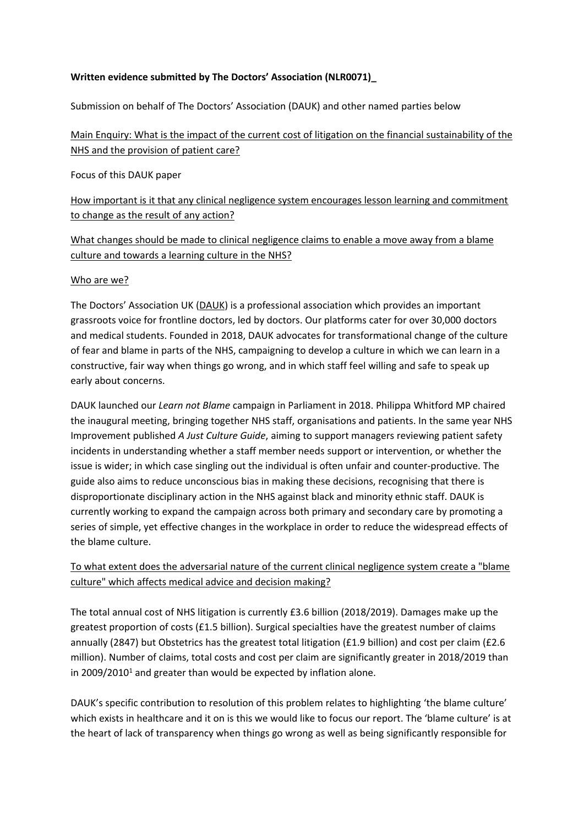# **Written evidence submitted by The Doctors' Association (NLR0071)\_**

Submission on behalf of The Doctors' Association (DAUK) and other named parties below

# Main Enquiry: What is the impact of the current cost of litigation on the financial sustainability of the NHS and the provision of patient care?

Focus of this DAUK paper

How important is it that any clinical negligence system encourages lesson learning and commitment to change as the result of any action?

# What changes should be made to clinical negligence claims to enable a move away from a blame culture and towards a learning culture in the NHS?

## Who are we?

The Doctors' Association UK [\(DAUK](https://www.dauk.org/)) is a professional association which provides an important grassroots voice for frontline doctors, led by doctors. Our platforms cater for over 30,000 doctors and medical students. Founded in 2018, DAUK advocates for transformational change of the culture of fear and blame in parts of the NHS, campaigning to develop a culture in which we can learn in a constructive, fair way when things go wrong, and in which staff feel willing and safe to speak up early about concerns.

DAUK launched our *Learn not Blame* campaign in Parliament in 2018. Philippa Whitford MP chaired the inaugural meeting, bringing together NHS staff, organisations and patients. In the same year NHS Improvement published *A Just Culture Guide*, aiming to support managers reviewing patient safety incidents in understanding whether a staff member needs support or intervention, or whether the issue is wider; in which case singling out the individual is often unfair and counter-productive. The guide also aims to reduce unconscious bias in making these decisions, recognising that there is disproportionate disciplinary action in the NHS against black and minority ethnic staff. DAUK is currently working to expand the campaign across both primary and secondary care by promoting a series of simple, yet effective changes in the workplace in order to reduce the widespread effects of the blame culture.

# To what extent does the adversarial nature of the current clinical negligence system create a "blame culture" which affects medical advice and decision making?

The total annual cost of NHS litigation is currently £3.6 billion (2018/2019). Damages make up the greatest proportion of costs (£1.5 billion). Surgical specialties have the greatest number of claims annually (2847) but Obstetrics has the greatest total litigation (£1.9 billion) and cost per claim (£2.6 million). Number of claims, total costs and cost per claim are significantly greater in 2018/2019 than in 2009/2010<sup>1</sup> and greater than would be expected by inflation alone.

DAUK's specific contribution to resolution of this problem relates to highlighting 'the blame culture' which exists in healthcare and it on is this we would like to focus our report. The 'blame culture' is at the heart of lack of transparency when things go wrong as well as being significantly responsible for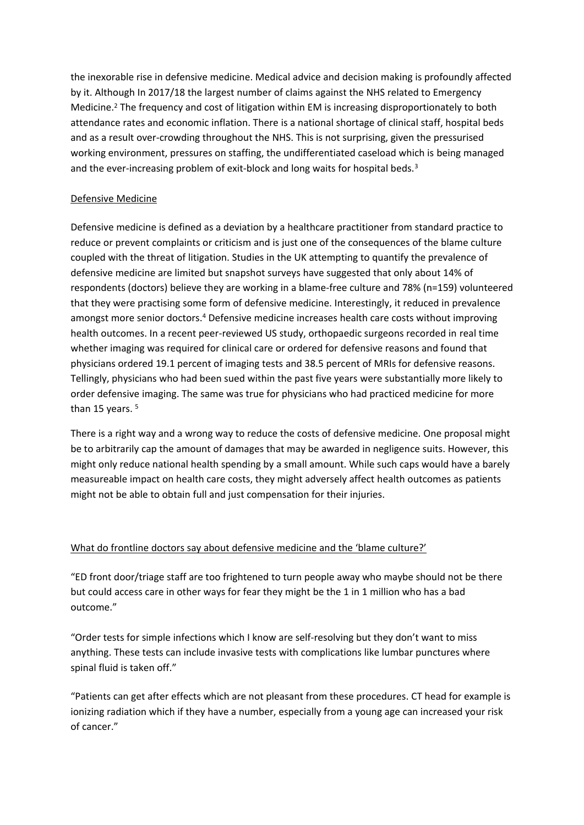the inexorable rise in defensive medicine. Medical advice and decision making is profoundly affected by it. Although In 2017/18 the largest number of claims against the NHS related to Emergency Medicine.<sup>2</sup> The frequency and cost of litigation within EM is increasing disproportionately to both attendance rates and economic inflation. There is a national shortage of clinical staff, hospital beds and as a result over-crowding throughout the NHS. This is not surprising, given the pressurised working environment, pressures on staffing, the undifferentiated caseload which is being managed and the ever-increasing problem of exit-block and long waits for hospital beds.<sup>3</sup>

# Defensive Medicine

Defensive medicine is defined as a deviation by a healthcare practitioner from standard practice to reduce or prevent complaints or criticism and is just one of the consequences of the blame culture coupled with the threat of litigation. Studies in the UK attempting to quantify the prevalence of defensive medicine are limited but snapshot surveys have suggested that only about 14% of respondents (doctors) believe they are working in a blame-free culture and 78% (n=159) volunteered that they were practising some form of defensive medicine. Interestingly, it reduced in prevalence amongst more senior doctors.<sup>4</sup> Defensive medicine increases health care costs without improving health outcomes. In a recent peer-reviewed US study, orthopaedic surgeons recorded in real time whether imaging was required for clinical care or ordered for defensive reasons and found that physicians ordered 19.1 percent of imaging tests and 38.5 percent of MRIs for defensive reasons. Tellingly, physicians who had been sued within the past five years were substantially more likely to order defensive imaging. The same was true for physicians who had practiced medicine for more than 15 years.<sup>5</sup>

There is a right way and a wrong way to reduce the costs of defensive medicine. One proposal might be to arbitrarily cap the amount of damages that may be awarded in negligence suits. However, this might only reduce national health spending by a small amount. While such caps would have a barely measureable impact on health care costs, they might adversely affect health outcomes as patients might not be able to obtain full and just compensation for their injuries.

#### What do frontline doctors say about defensive medicine and the 'blame culture?'

"ED front door/triage staff are too frightened to turn people away who maybe should not be there but could access care in other ways for fear they might be the 1 in 1 million who has a bad outcome."

"Order tests for simple infections which I know are self-resolving but they don't want to miss anything. These tests can include invasive tests with complications like lumbar punctures where spinal fluid is taken off."

"Patients can get after effects which are not pleasant from these procedures. CT head for example is ionizing radiation which if they have a number, especially from a young age can increased your risk of cancer."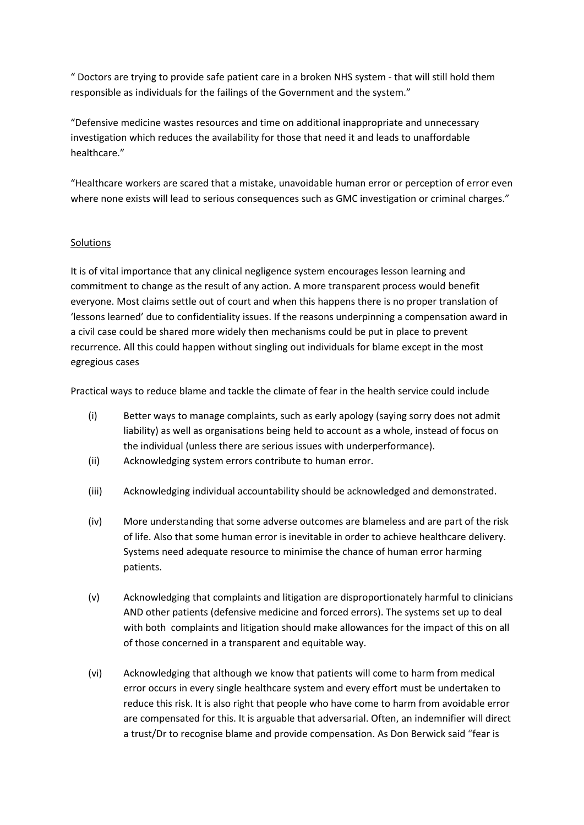" Doctors are trying to provide safe patient care in a broken NHS system - that will still hold them responsible as individuals for the failings of the Government and the system."

"Defensive medicine wastes resources and time on additional inappropriate and unnecessary investigation which reduces the availability for those that need it and leads to unaffordable healthcare."

"Healthcare workers are scared that a mistake, unavoidable human error or perception of error even where none exists will lead to serious consequences such as GMC investigation or criminal charges."

## Solutions

It is of vital importance that any clinical negligence system encourages lesson learning and commitment to change as the result of any action. A more transparent process would benefit everyone. Most claims settle out of court and when this happens there is no proper translation of 'lessons learned' due to confidentiality issues. If the reasons underpinning a compensation award in a civil case could be shared more widely then mechanisms could be put in place to prevent recurrence. All this could happen without singling out individuals for blame except in the most egregious cases

Practical ways to reduce blame and tackle the climate of fear in the health service could include

- (i) Better ways to manage complaints, such as early apology (saying sorry does not admit liability) as well as organisations being held to account as a whole, instead of focus on the individual (unless there are serious issues with underperformance).
- (ii) Acknowledging system errors contribute to human error.
- (iii) Acknowledging individual accountability should be acknowledged and demonstrated.
- (iv) More understanding that some adverse outcomes are blameless and are part of the risk of life. Also that some human error is inevitable in order to achieve healthcare delivery. Systems need adequate resource to minimise the chance of human error harming patients.
- (v) Acknowledging that complaints and litigation are disproportionately harmful to clinicians AND other patients (defensive medicine and forced errors). The systems set up to deal with both complaints and litigation should make allowances for the impact of this on all of those concerned in a transparent and equitable way.
- (vi) Acknowledging that although we know that patients will come to harm from medical error occurs in every single healthcare system and every effort must be undertaken to reduce this risk. It is also right that people who have come to harm from avoidable error are compensated for this. It is arguable that adversarial. Often, an indemnifier will direct a trust/Dr to recognise blame and provide compensation. As Don Berwick said "fear is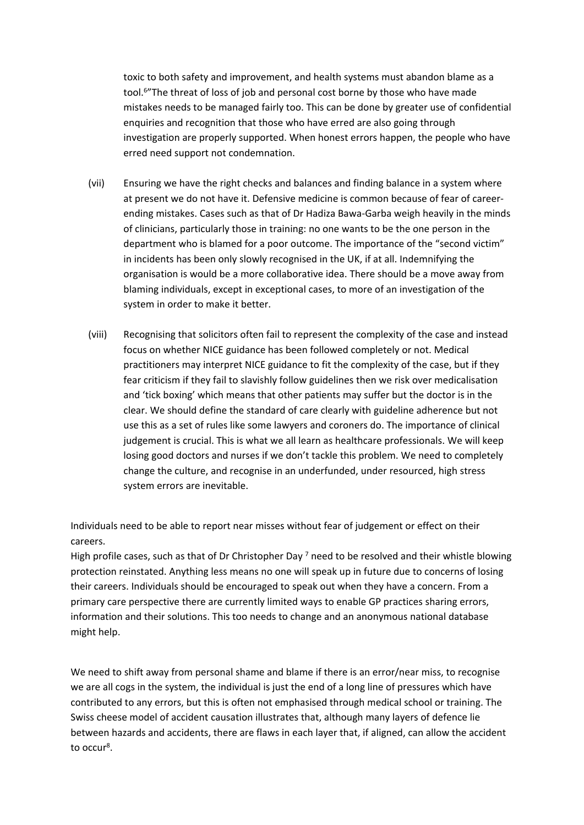toxic to both safety and improvement, and health systems must abandon blame as a tool.<sup>6</sup>"The threat of loss of job and personal cost borne by those who have made mistakes needs to be managed fairly too. This can be done by greater use of confidential enquiries and recognition that those who have erred are also going through investigation are properly supported. When honest errors happen, the people who have erred need support not condemnation.

- (vii) Ensuring we have the right checks and balances and finding balance in a system where at present we do not have it. Defensive medicine is common because of fear of careerending mistakes. Cases such as that of Dr Hadiza Bawa-Garba weigh heavily in the minds of clinicians, particularly those in training: no one wants to be the one person in the department who is blamed for a poor outcome. The importance of the "second victim" in incidents has been only slowly recognised in the UK, if at all. Indemnifying the organisation is would be a more collaborative idea. There should be a move away from blaming individuals, except in exceptional cases, to more of an investigation of the system in order to make it better.
- (viii) Recognising that solicitors often fail to represent the complexity of the case and instead focus on whether NICE guidance has been followed completely or not. Medical practitioners may interpret NICE guidance to fit the complexity of the case, but if they fear criticism if they fail to slavishly follow guidelines then we risk over medicalisation and 'tick boxing' which means that other patients may suffer but the doctor is in the clear. We should define the standard of care clearly with guideline adherence but not use this as a set of rules like some lawyers and coroners do. The importance of clinical judgement is crucial. This is what we all learn as healthcare professionals. We will keep losing good doctors and nurses if we don't tackle this problem. We need to completely change the culture, and recognise in an underfunded, under resourced, high stress system errors are inevitable.

Individuals need to be able to report near misses without fear of judgement or effect on their careers.

High profile cases, such as that of Dr Christopher Day<sup>7</sup> need to be resolved and their whistle blowing protection reinstated. Anything less means no one will speak up in future due to concerns of losing their careers. Individuals should be encouraged to speak out when they have a concern. From a primary care perspective there are currently limited ways to enable GP practices sharing errors, information and their solutions. This too needs to change and an anonymous national database might help.

We need to shift away from personal shame and blame if there is an error/near miss, to recognise we are all cogs in the system, the individual is just the end of a long line of pressures which have contributed to any errors, but this is often not emphasised through medical school or training. The Swiss cheese model of accident causation illustrates that, although many layers of defence lie between hazards and accidents, there are flaws in each layer that, if aligned, can allow the accident to occur<sup>8</sup>.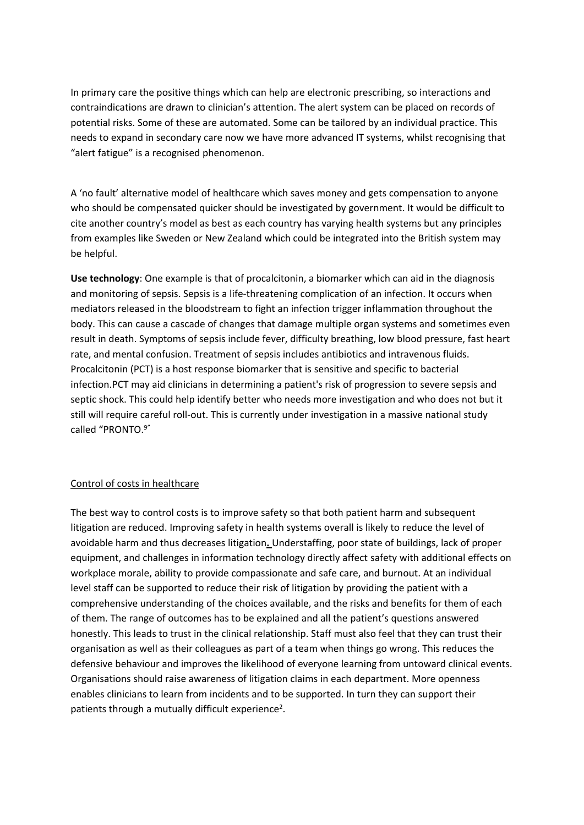In primary care the positive things which can help are electronic prescribing, so interactions and contraindications are drawn to clinician's attention. The alert system can be placed on records of potential risks. Some of these are automated. Some can be tailored by an individual practice. This needs to expand in secondary care now we have more advanced IT systems, whilst recognising that "alert fatigue" is a recognised phenomenon.

A 'no fault' alternative model of healthcare which saves money and gets compensation to anyone who should be compensated quicker should be investigated by government. It would be difficult to cite another country's model as best as each country has varying health systems but any principles from examples like Sweden or New Zealand which could be integrated into the British system may be helpful.

**Use technology**: One example is that of procalcitonin, a biomarker which can aid in the diagnosis and monitoring of sepsis. Sepsis is a life-threatening complication of an infection. It occurs when mediators released in the bloodstream to fight an infection trigger inflammation throughout the body. This can cause a cascade of changes that damage multiple organ systems and sometimes even result in death. Symptoms of sepsis include fever, difficulty breathing, low blood pressure, fast heart rate, and mental confusion. Treatment of sepsis includes antibiotics and intravenous fluids. Procalcitonin (PCT) is a host response biomarker that is sensitive and specific to bacterial infection.PCT may aid clinicians in determining a patient's risk of progression to severe sepsis and septic shock. This could help identify better who needs more investigation and who does not but it still will require careful roll-out. This is currently under investigation in a massive national study called "PRONTO.9"

#### Control of costs in healthcare

The best way to control costs is to improve safety so that both patient harm and subsequent litigation are reduced. Improving safety in health systems overall is likely to reduce the level of avoidable harm and thus decreases litigation**.** Understaffing, poor state of buildings, lack of proper equipment, and challenges in information technology directly affect safety with additional effects on workplace morale, ability to provide compassionate and safe care, and burnout. At an individual level staff can be supported to reduce their risk of litigation by providing the patient with a comprehensive understanding of the choices available, and the risks and benefits for them of each of them. The range of outcomes has to be explained and all the patient's questions answered honestly. This leads to trust in the clinical relationship. Staff must also feel that they can trust their organisation as well as their colleagues as part of a team when things go wrong. This reduces the defensive behaviour and improves the likelihood of everyone learning from untoward clinical events. Organisations should raise awareness of litigation claims in each department. More openness enables clinicians to learn from incidents and to be supported. In turn they can support their patients through a mutually difficult experience<sup>2</sup>.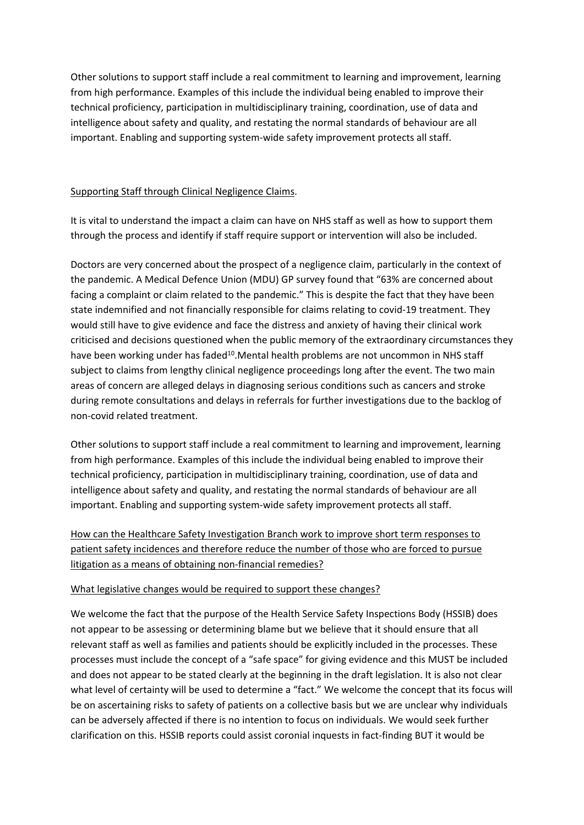Other solutions to support staff include a real commitment to learning and improvement, learning from high performance. Examples of this include the individual being enabled to improve their technical proficiency, participation in multidisciplinary training, coordination, use of data and intelligence about safety and quality, and restating the normal standards of behaviour are all important. Enabling and supporting system-wide safety improvement protects all staff.

# Supporting Staff through Clinical Negligence Claims.

It is vital to understand the impact a claim can have on NHS staff as well as how to support them through the process and identify if staff require support or intervention will also be included.

Doctors are very concerned about the prospect of a negligence claim, particularly in the context of the pandemic. A Medical Defence Union (MDU) GP survey found that "63% are concerned about facing a complaint or claim related to the pandemic." This is despite the fact that they have been state indemnified and not financially responsible for claims relating to covid-19 treatment. They would still have to give evidence and face the distress and anxiety of having their clinical work criticised and decisions questioned when the public memory of the extraordinary circumstances they have been working under has faded<sup>10</sup>. Mental health problems are not uncommon in NHS staff subject to claims from lengthy clinical negligence proceedings long after the event. The two main areas of concern are alleged delays in diagnosing serious conditions such as cancers and stroke during remote consultations and delays in referrals for further investigations due to the backlog of non-covid related treatment.

Other solutions to support staff include a real commitment to learning and improvement, learning from high performance. Examples of this include the individual being enabled to improve their technical proficiency, participation in multidisciplinary training, coordination, use of data and intelligence about safety and quality, and restating the normal standards of behaviour are all important. Enabling and supporting system-wide safety improvement protects all staff.

How can the Healthcare Safety Investigation Branch work to improve short term responses to patient safety incidences and therefore reduce the number of those who are forced to pursue litigation as a means of obtaining non-financial remedies?

#### What legislative changes would be required to support these changes?

We welcome the fact that the purpose of the Health Service Safety Inspections Body (HSSIB) does not appear to be assessing or determining blame but we believe that it should ensure that all relevant staff as well as families and patients should be explicitly included in the processes. These processes must include the concept of a "safe space" for giving evidence and this MUST be included and does not appear to be stated clearly at the beginning in the draft legislation. It is also not clear what level of certainty will be used to determine a "fact." We welcome the concept that its focus will be on ascertaining risks to safety of patients on a collective basis but we are unclear why individuals can be adversely affected if there is no intention to focus on individuals. We would seek further clarification on this. HSSIB reports could assist coronial inquests in fact-finding BUT it would be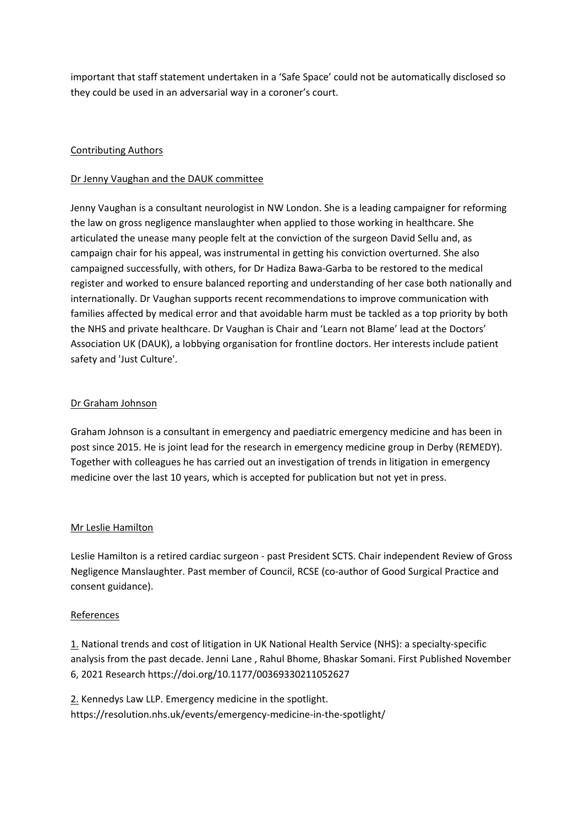important that staff statement undertaken in a 'Safe Space' could not be automatically disclosed so they could be used in an adversarial way in a coroner's court.

# Contributing Authors

## Dr Jenny Vaughan and the DAUK committee

Jenny Vaughan is a consultant neurologist in NW London. She is a leading campaigner for reforming the law on gross negligence manslaughter when applied to those working in healthcare. She articulated the unease many people felt at the conviction of the surgeon David Sellu and, as campaign chair for his appeal, was instrumental in getting his conviction overturned. She also campaigned successfully, with others, for Dr Hadiza Bawa-Garba to be restored to the medical register and worked to ensure balanced reporting and understanding of her case both nationally and internationally. Dr Vaughan supports recent recommendations to improve communication with families affected by medical error and that avoidable harm must be tackled as a top priority by both the NHS and private healthcare. Dr Vaughan is Chair and 'Learn not Blame' lead at the Doctors' Association UK (DAUK), a lobbying organisation for frontline doctors. Her interests include patient safety and 'Just Culture'.

## Dr Graham Johnson

Graham Johnson is a consultant in emergency and paediatric emergency medicine and has been in post since 2015. He is joint lead for the research in emergency medicine group in Derby (REMEDY). Together with colleagues he has carried out an investigation of trends in litigation in emergency medicine over the last 10 years, which is accepted for publication but not yet in press.

#### Mr Leslie Hamilton

Leslie Hamilton is a retired cardiac surgeon - past President SCTS. Chair independent Review of Gross Negligence Manslaughter. Past member of Council, RCSE (co-author of Good Surgical Practice and consent guidance).

#### References

1. National trends and cost of litigation in UK National Health Service (NHS): a specialty-specific analysis from the past decade. [Jenni](https://journals.sagepub.com/doi/abs/10.1177/00369330211052627) [Lane](https://journals.sagepub.com/doi/abs/10.1177/00369330211052627) , [Rahul](https://journals.sagepub.com/doi/abs/10.1177/00369330211052627) [Bhome](https://journals.sagepub.com/doi/abs/10.1177/00369330211052627), [Bhaskar](https://journals.sagepub.com/doi/abs/10.1177/00369330211052627) [Somani.](https://journals.sagepub.com/doi/abs/10.1177/00369330211052627) First Published November 6, 2021 Research [https://doi.org/10.1177/00369330211052627](https://doi.org/10.1177%2F00369330211052627)

2. Kennedys Law LLP. Emergency medicine in the spotlight. <https://resolution.nhs.uk/events/emergency-medicine-in-the-spotlight/>